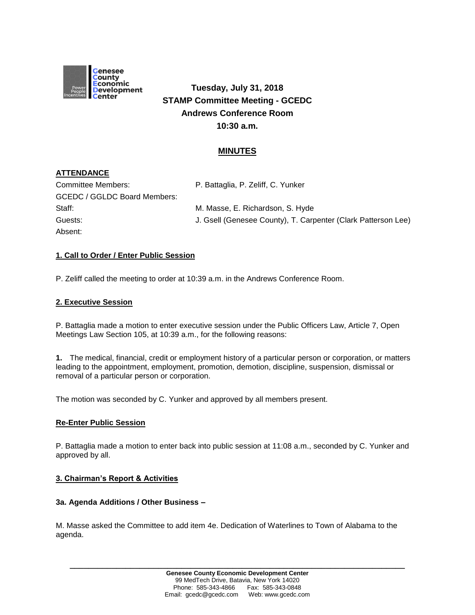

**Tuesday, July 31, 2018 STAMP Committee Meeting - GCEDC Andrews Conference Room 10:30 a.m.**

## **MINUTES**

# **ATTENDANCE**

| Committee Members:                  | P. Battaglia, P. Zeliff, C. Yunker                            |
|-------------------------------------|---------------------------------------------------------------|
| <b>GCEDC / GGLDC Board Members:</b> |                                                               |
| Staff:                              | M. Masse, E. Richardson, S. Hyde                              |
| Guests:                             | J. Gsell (Genesee County), T. Carpenter (Clark Patterson Lee) |
| Absent:                             |                                                               |

## **1. Call to Order / Enter Public Session**

P. Zeliff called the meeting to order at 10:39 a.m. in the Andrews Conference Room.

### **2. Executive Session**

P. Battaglia made a motion to enter executive session under the Public Officers Law, Article 7, Open Meetings Law Section 105, at 10:39 a.m., for the following reasons:

**1.** The medical, financial, credit or employment history of a particular person or corporation, or matters leading to the appointment, employment, promotion, demotion, discipline, suspension, dismissal or removal of a particular person or corporation.

The motion was seconded by C. Yunker and approved by all members present.

#### **Re-Enter Public Session**

P. Battaglia made a motion to enter back into public session at 11:08 a.m., seconded by C. Yunker and approved by all.

#### **3. Chairman's Report & Activities**

#### **3a. Agenda Additions / Other Business –**

M. Masse asked the Committee to add item 4e. Dedication of Waterlines to Town of Alabama to the agenda.

**\_\_\_\_\_\_\_\_\_\_\_\_\_\_\_\_\_\_\_\_\_\_\_\_\_\_\_\_\_\_\_\_\_\_\_\_\_\_\_\_\_\_\_\_\_\_\_\_\_\_\_\_\_\_\_\_\_\_\_\_\_\_\_\_\_\_\_\_\_\_\_\_**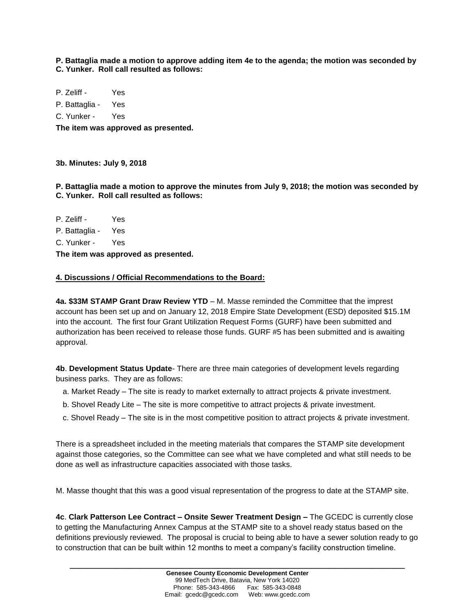**P. Battaglia made a motion to approve adding item 4e to the agenda; the motion was seconded by C. Yunker. Roll call resulted as follows:**

P. Zeliff - Yes

P. Battaglia - Yes

C. Yunker - Yes

**The item was approved as presented.**

**3b. Minutes: July 9, 2018**

**P. Battaglia made a motion to approve the minutes from July 9, 2018; the motion was seconded by C. Yunker. Roll call resulted as follows:**

P. Zeliff - Yes P. Battaglia - Yes C. Yunker - Yes **The item was approved as presented.**

### **4. Discussions / Official Recommendations to the Board:**

**4a. \$33M STAMP Grant Draw Review YTD** – M. Masse reminded the Committee that the imprest account has been set up and on January 12, 2018 Empire State Development (ESD) deposited \$15.1M into the account. The first four Grant Utilization Request Forms (GURF) have been submitted and authorization has been received to release those funds. GURF #5 has been submitted and is awaiting approval.

**4b**. **Development Status Update**- There are three main categories of development levels regarding business parks. They are as follows:

- a. Market Ready The site is ready to market externally to attract projects & private investment.
- b. Shovel Ready Lite The site is more competitive to attract projects & private investment.
- c. Shovel Ready The site is in the most competitive position to attract projects & private investment.

There is a spreadsheet included in the meeting materials that compares the STAMP site development against those categories, so the Committee can see what we have completed and what still needs to be done as well as infrastructure capacities associated with those tasks.

M. Masse thought that this was a good visual representation of the progress to date at the STAMP site.

**4c**. **Clark Patterson Lee Contract – Onsite Sewer Treatment Design –** The GCEDC is currently close to getting the Manufacturing Annex Campus at the STAMP site to a shovel ready status based on the definitions previously reviewed. The proposal is crucial to being able to have a sewer solution ready to go to construction that can be built within 12 months to meet a company's facility construction timeline.

**\_\_\_\_\_\_\_\_\_\_\_\_\_\_\_\_\_\_\_\_\_\_\_\_\_\_\_\_\_\_\_\_\_\_\_\_\_\_\_\_\_\_\_\_\_\_\_\_\_\_\_\_\_\_\_\_\_\_\_\_\_\_\_\_\_\_\_\_\_\_\_\_**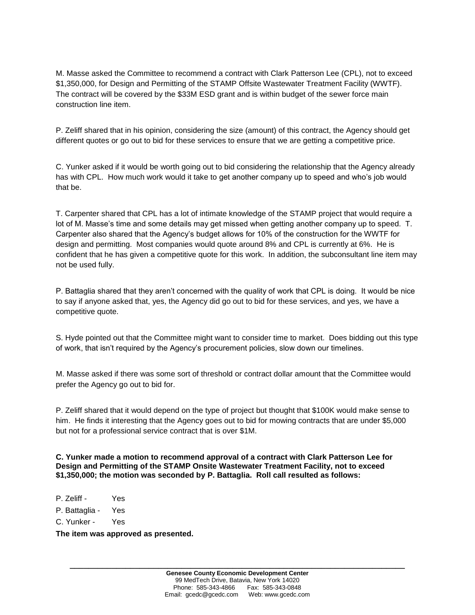M. Masse asked the Committee to recommend a contract with Clark Patterson Lee (CPL), not to exceed \$1,350,000, for Design and Permitting of the STAMP Offsite Wastewater Treatment Facility (WWTF). The contract will be covered by the \$33M ESD grant and is within budget of the sewer force main construction line item.

P. Zeliff shared that in his opinion, considering the size (amount) of this contract, the Agency should get different quotes or go out to bid for these services to ensure that we are getting a competitive price.

C. Yunker asked if it would be worth going out to bid considering the relationship that the Agency already has with CPL. How much work would it take to get another company up to speed and who's job would that be.

T. Carpenter shared that CPL has a lot of intimate knowledge of the STAMP project that would require a lot of M. Masse's time and some details may get missed when getting another company up to speed. T. Carpenter also shared that the Agency's budget allows for 10% of the construction for the WWTF for design and permitting. Most companies would quote around 8% and CPL is currently at 6%. He is confident that he has given a competitive quote for this work. In addition, the subconsultant line item may not be used fully.

P. Battaglia shared that they aren't concerned with the quality of work that CPL is doing. It would be nice to say if anyone asked that, yes, the Agency did go out to bid for these services, and yes, we have a competitive quote.

S. Hyde pointed out that the Committee might want to consider time to market. Does bidding out this type of work, that isn't required by the Agency's procurement policies, slow down our timelines.

M. Masse asked if there was some sort of threshold or contract dollar amount that the Committee would prefer the Agency go out to bid for.

P. Zeliff shared that it would depend on the type of project but thought that \$100K would make sense to him. He finds it interesting that the Agency goes out to bid for mowing contracts that are under \$5,000 but not for a professional service contract that is over \$1M.

**C. Yunker made a motion to recommend approval of a contract with Clark Patterson Lee for Design and Permitting of the STAMP Onsite Wastewater Treatment Facility, not to exceed \$1,350,000; the motion was seconded by P. Battaglia. Roll call resulted as follows:**

- P. Zeliff Yes
- P. Battaglia Yes
- C. Yunker Yes

**The item was approved as presented.**

**\_\_\_\_\_\_\_\_\_\_\_\_\_\_\_\_\_\_\_\_\_\_\_\_\_\_\_\_\_\_\_\_\_\_\_\_\_\_\_\_\_\_\_\_\_\_\_\_\_\_\_\_\_\_\_\_\_\_\_\_\_\_\_\_\_\_\_\_\_\_\_\_**